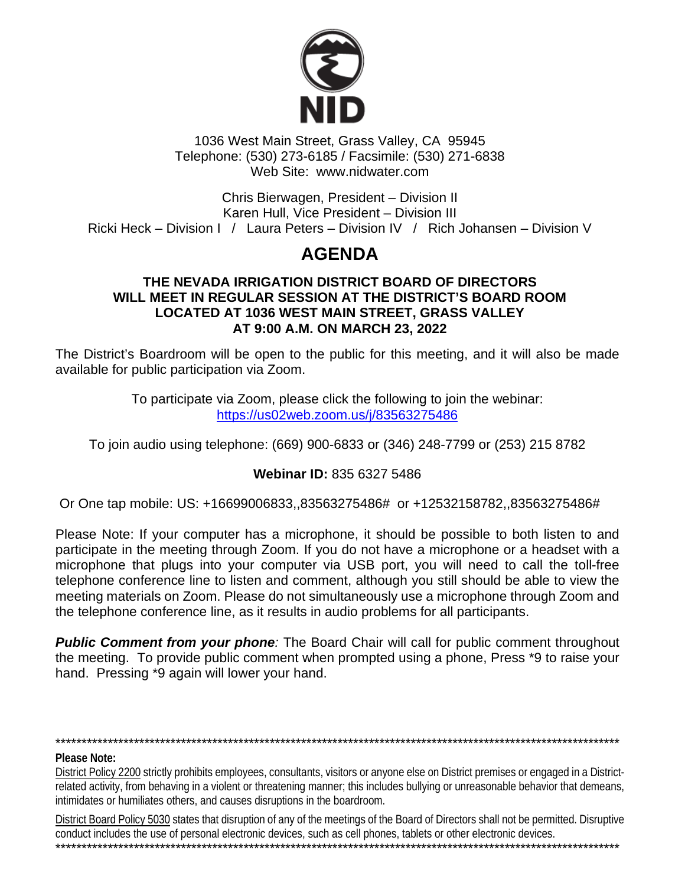

1036 West Main Street, Grass Valley, CA 95945 Telephone: (530) 273-6185 / Facsimile: (530) 271-6838 Web Site: www.nidwater.com

Chris Bierwagen, President - Division II Karen Hull, Vice President - Division III Ricki Heck – Division I / Laura Peters – Division IV / Rich Johansen – Division V

# **AGENDA**

#### THE NEVADA IRRIGATION DISTRICT BOARD OF DIRECTORS WILL MEET IN REGULAR SESSION AT THE DISTRICT'S BOARD ROOM LOCATED AT 1036 WEST MAIN STREET, GRASS VALLEY AT 9:00 A.M. ON MARCH 23, 2022

The District's Boardroom will be open to the public for this meeting, and it will also be made available for public participation via Zoom.

> To participate via Zoom, please click the following to join the webinar: https://us02web.zoom.us/j/83563275486

To join audio using telephone: (669) 900-6833 or (346) 248-7799 or (253) 215 8782

### Webinar ID: 835 6327 5486

Or One tap mobile: US: +16699006833,,83563275486# or +12532158782,,83563275486#

Please Note: If your computer has a microphone, it should be possible to both listen to and participate in the meeting through Zoom. If you do not have a microphone or a headset with a microphone that plugs into your computer via USB port, you will need to call the toll-free telephone conference line to listen and comment, although you still should be able to view the meeting materials on Zoom. Please do not simultaneously use a microphone through Zoom and the telephone conference line, as it results in audio problems for all participants.

**Public Comment from your phone:** The Board Chair will call for public comment throughout the meeting. To provide public comment when prompted using a phone, Press \*9 to raise your hand. Pressing \*9 again will lower your hand.

# Please Note:

District Policy 2200 strictly prohibits employees, consultants, visitors or anyone else on District premises or engaged in a Districtrelated activity, from behaving in a violent or threatening manner; this includes bullying or unreasonable behavior that demeans, intimidates or humiliates others, and causes disruptions in the boardroom.

District Board Policy 5030 states that disruption of any of the meetings of the Board of Directors shall not be permitted. Disruptive conduct includes the use of personal electronic devices, such as cell phones, tablets or other electronic devices.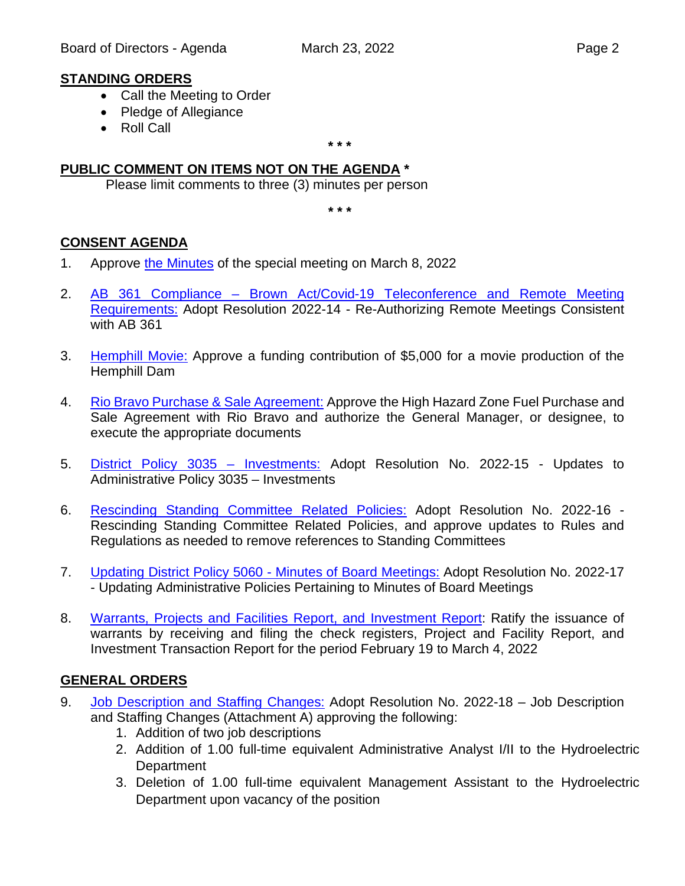### **STANDING ORDERS**

- Call the Meeting to Order
- Pledge of Allegiance
- Roll Call

**\* \* \***

### **PUBLIC COMMENT ON ITEMS NOT ON THE AGENDA \***

Please limit comments to three (3) minutes per person

**\* \* \***

### **CONSENT AGENDA**

- 1. Approve [the Minutes](https://www.nidwater.com/files/c13b0b112/03232022_BOD_Item_1.pdf) of the special meeting on March 8, 2022
- 2. AB 361 Compliance [Brown Act/Covid-19 Teleconference and Remote Meeting](https://www.nidwater.com/files/c93031525/03232022_BOD_Item_2.pdf)  [Requirements:](https://www.nidwater.com/files/c93031525/03232022_BOD_Item_2.pdf) Adopt Resolution 2022-14 - Re-Authorizing Remote Meetings Consistent with AB 361
- 3. **[Hemphill Movie:](https://www.nidwater.com/files/9e53318a6/03232022_BOD_Item_3.pdf)** Approve a funding contribution of \$5,000 for a movie production of the Hemphill Dam
- 4. [Rio Bravo Purchase & Sale Agreement:](https://www.nidwater.com/files/572d0aca9/03232022_BOD_Item_4.pdf) Approve the High Hazard Zone Fuel Purchase and Sale Agreement with Rio Bravo and authorize the General Manager, or designee, to execute the appropriate documents
- 5. [District Policy 3035 –](https://www.nidwater.com/files/3b63abf8b/03232022_BOD_Item_5.pdf) Investments: Adopt Resolution No. 2022-15 Updates to Administrative Policy 3035 – Investments
- 6. [Rescinding Standing Committee Related Policies:](https://www.nidwater.com/files/76e1ec693/03232022_BOD_Item_6.pdf) Adopt Resolution No. 2022-16 Rescinding Standing Committee Related Policies, and approve updates to Rules and Regulations as needed to remove references to Standing Committees
- 7. [Updating District Policy 5060 -](https://www.nidwater.com/files/962c8c8d0/03232022_BOD_Item_7.pdf) Minutes of Board Meetings: Adopt Resolution No. 2022-17 - Updating Administrative Policies Pertaining to Minutes of Board Meetings
- 8. [Warrants, Projects and Facilities Report, and Investment Report:](https://www.nidwater.com/files/d63b05eb7/03232022_BOD_Item_8.pdf) Ratify the issuance of warrants by receiving and filing the check registers, Project and Facility Report, and Investment Transaction Report for the period February 19 to March 4, 2022

### **GENERAL ORDERS**

- 9. [Job Description and Staffing Changes:](https://www.nidwater.com/files/9bc3f3ce2/03232022_BOD_Item_9.pdf) Adopt Resolution No. 2022-18 Job Description and Staffing Changes (Attachment A) approving the following:
	- 1. Addition of two job descriptions
	- 2. Addition of 1.00 full-time equivalent Administrative Analyst I/II to the Hydroelectric **Department**
	- 3. Deletion of 1.00 full-time equivalent Management Assistant to the Hydroelectric Department upon vacancy of the position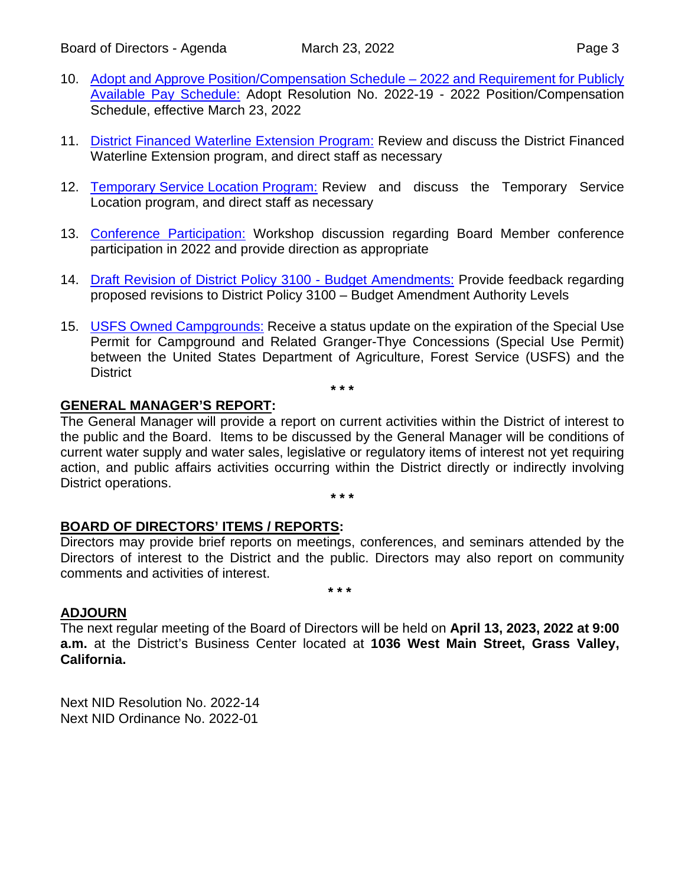- 10. [Adopt and Approve Position/Compensation Schedule –](https://www.nidwater.com/files/62b249dd8/03232022_BOD_Item_10.pdf) 2022 and Requirement for Publicly [Available Pay Schedule:](https://www.nidwater.com/files/62b249dd8/03232022_BOD_Item_10.pdf) Adopt Resolution No. 2022-19 - 2022 Position/Compensation Schedule, effective March 23, 2022
- 11. [District Financed Waterline Extension Program:](https://www.nidwater.com/files/d6588af80/03232022_BOD_Item_11.pdf) Review and discuss the District Financed Waterline Extension program, and direct staff as necessary
- 12. [Temporary Service Location Program:](https://www.nidwater.com/files/ed6a19dfe/03232022_BOD_Item_12.pdf) Review and discuss the Temporary Service Location program, and direct staff as necessary
- 13. [Conference Participation:](https://www.nidwater.com/files/ca7f347a3/03232022_BOD_Item_13.pdf) Workshop discussion regarding Board Member conference participation in 2022 and provide direction as appropriate
- 14. [Draft Revision of District Policy 3100 -](https://www.nidwater.com/files/b10d90401/03232022_BOD_Item_14.pdf) Budget Amendments: Provide feedback regarding proposed revisions to District Policy 3100 – Budget Amendment Authority Levels
- 15. [USFS Owned Campgrounds:](https://www.nidwater.com/files/ab997aa8e/03232022_BOD_Item_15.pdf) Receive a status update on the expiration of the Special Use Permit for Campground and Related Granger-Thye Concessions (Special Use Permit) between the United States Department of Agriculture, Forest Service (USFS) and the District

**\* \* \***

# **GENERAL MANAGER'S REPORT:**

The General Manager will provide a report on current activities within the District of interest to the public and the Board. Items to be discussed by the General Manager will be conditions of current water supply and water sales, legislative or regulatory items of interest not yet requiring action, and public affairs activities occurring within the District directly or indirectly involving District operations.

**\* \* \***

#### **BOARD OF DIRECTORS' ITEMS / REPORTS:**

Directors may provide brief reports on meetings, conferences, and seminars attended by the Directors of interest to the District and the public. Directors may also report on community comments and activities of interest.

**\* \* \***

#### **ADJOURN**

The next regular meeting of the Board of Directors will be held on **April 13, 2023, 2022 at 9:00 a.m.** at the District's Business Center located at **1036 West Main Street, Grass Valley, California.**

Next NID Resolution No. 2022-14 Next NID Ordinance No. 2022-01